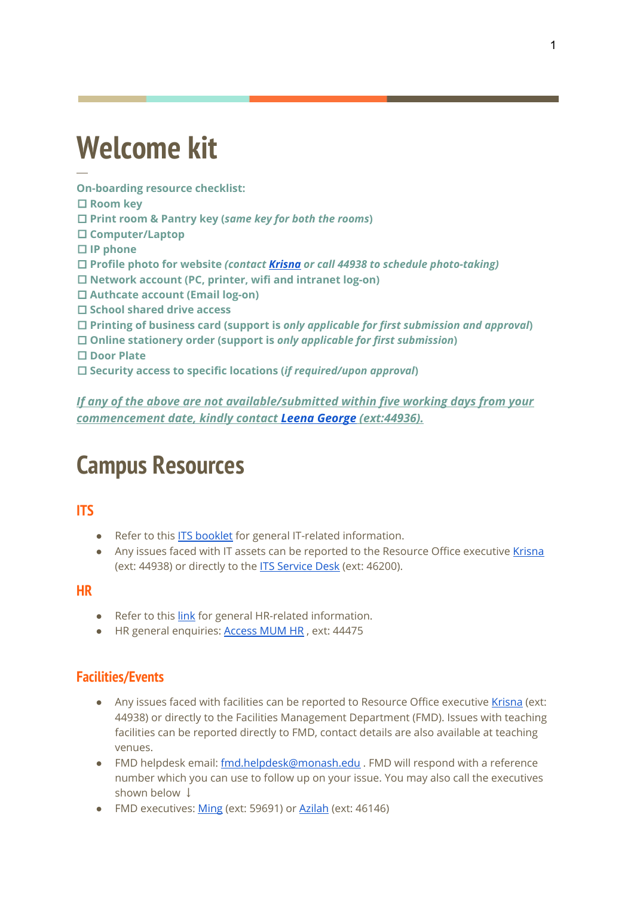# **Welcome kit**

**On-boarding resource checklist:**

□ **Room key**

─

- □ **Print room & Pantry key (***same key for both the rooms***)**
- □ **Computer/Laptop**

□ **IP phone**

□ **Profile photo for website** *(contact [Krisna](mailto:krisnakumari.perumal@monash.edu) or call 44938 to schedule photo-taking)*

- □ **Network account (PC, printer, wifi and intranet log-on)**
- □ **Authcate account (Email log-on)**
- □ **School shared drive access**
- □ **Printing of business card (support is** *only applicable for first submission and approval***)**
- □ **Online stationery order (support is** *only applicable for first submission***)**
- □ **Door Plate**
- □ **Security access to specific locations (***if required/upon approval***)**

*If any of the above are not available/submitted within five working days from your commencement date, kindly contact Leena [George](mailto:leena.george@monash.edu) (ext:44936).*

# **Campus Resources**

### **ITS**

- Refer to this ITS [booklet](http://intranet.monash.edu.my/ITServices/Documents/Documents/Staff%20Onboarding%20E-Booklet/Staff%20Onboarding%20E-Booklet.pdf) for general IT-related information.
- Any issues faced with IT assets can be reported to the Resource Office executive [Krisna](mailto:krisnakumari.perumal@monash.edu) (ext: 44938) or directly to the **ITS [Service](mailto:servicedesk.my@monash.edu) Desk** (ext: 46200).

#### **HR**

- Refer to this [link](http://intranet.monash.edu.my/hr/HR%20Service%20Desk/Forms/AllItems.aspx) for general HR-related information.
- HR general enquiries: **[Access](https://hrhelpdesk.monash.edu.my/index.php) MUM HR**, ext: 44475

#### **Facilities/Events**

- Any issues faced with facilities can be reported to Resource Office executive [Krisna](mailto:krisnakumari.perumal@monash.edu) (ext: 44938) or directly to the Facilities Management Department (FMD). Issues with teaching facilities can be reported directly to FMD, contact details are also available at teaching venues.
- FMD helpdesk email: [fmd.helpdesk@monash.edu](mailto:fmd.helpdesk@monash.edu) . FMD will respond with a reference number which you can use to follow up on your issue. You may also call the executives shown below  $\downarrow$
- FMD executives: [Ming](mailto:quah.minsee@monash.edu) (ext: 59691) or [Azilah](mailto:azilah.bakar@monash.edu) (ext: 46146)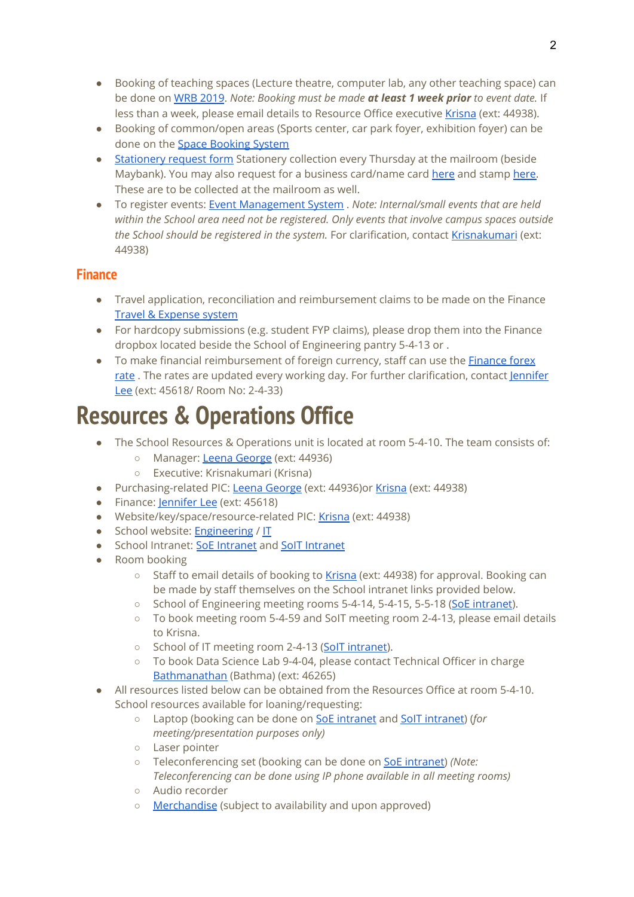- Booking of teaching spaces (Lecture theatre, computer lab, any other teaching space) can be done on WRB [2019](https://roombooking.monash.edu/WRB_SMA2019/default.aspx). *Note: Booking must be made at least 1 week prior to event date.* If less than a week, please email details to Resource Office executive [Krisna](mailto:krisnakumari.perumal@monash.edu) (ext: 44938).
- Booking of common/open areas (Sports center, car park foyer, exhibition foyer) can be done on the Space [Booking](https://fmu-rbs.monash.edu.my/home) System
- [Stationery](http://intranet.monash.edu.my/ess/fmd/Pages/Stationery-Form.aspx) request form Stationery collection every Thursday at the mailroom (beside Maybank). You may also request for a business card/name card [here](http://intranet.monash.edu.my/ess/fmd/Pages/NameCardRequest.aspx) and stamp [here](http://intranet.monash.edu.my/ess/fmd/Pages/Stamp-Order.aspx). These are to be collected at the mailroom as well.
- To register events: Event [Management](https://een-ems.monash.edu.my/) System . *Note: Internal/small events that are held within the School area need not be registered. Only events that involve campus spaces outside the School should be registered in the system.* For clarification, contact [Krisnakumari](http://krisnakumari.perumal@monash.edu/) (ext: 44938)

### **Finance**

- Travel application, reconciliation and reimbursement claims to be made on the Finance Travel & [Expense](https://fin-te.monash.edu.my/) system
- For hardcopy submissions (e.g. student FYP claims), please drop them into the Finance dropbox located beside the School of Engineering pantry 5-4-13 or .
- To make financial reimbursement of foreign currency, staff can use the [Finance](http://intranet.monash.edu.my/Finance/Daily%20Forex%20Rate/Forms/AllItems.aspx) forex [rate](http://intranet.monash.edu.my/Finance/Daily%20Forex%20Rate/Forms/AllItems.aspx) . The rates are updated every working day. For further clarification, contact [Jennifer](mailto:jennifer.lee@monash.edu) [Lee](mailto:jennifer.lee@monash.edu) (ext: 45618/ Room No: 2-4-33)

### **Resources & Operations Office**

- The School Resources & Operations unit is located at room 5-4-10. The team consists of:
	- o Manager: Leena [George](mailto:leena.george@monash.edu) (ext: 44936)
	- Executive: Krisnakumari (Krisna)
- Purchasing-related PIC: Leena [George](mailto:leena.george@monash.edu) (ext: 44936)or [Krisna](mailto:krisnakumari.perumal@monash.edu) (ext: 44938)
- Finance: [Jennifer](mailto:jennifer.lee@monash.edu) Lee (ext: 45618)
- Website/key/space/resource-related PIC: [Krisna](mailto:krisnakumari.perumal@monash.edu) (ext: 44938)
- School website: **[Engineering](https://www.monash.edu.my/engineering)** / [IT](https://www.monash.edu.my/IT)
- School [Intranet](http://intranet.monash.edu.my/infotech/SitePages/default.aspx): SoE Intranet and SoIT Intranet
- Room booking
	- Staff to email details of booking to [Krisna](mailto:krisnakumari.perumal@monash.edu) (ext: 44938) for approval. Booking can be made by staff themselves on the School intranet links provided below.
	- School of Engineering meeting rooms 5-4-14, 5-4-15, 5-5-18 (SoE [intranet\)](http://intranet.monash.edu.my/eng/booking/default.aspx).
	- To book meeting room 5-4-59 and SoIT meeting room 2-4-13, please email details to Krisna.
	- School of IT meeting room 2-4-13 (SolT [intranet](http://intranet.monash.edu.my/infotech/booking/2430/default.aspx)).
	- To book Data Science Lab 9-4-04, please contact Technical Officer in charge [Bathmanathan](mailto:bathmanathan@monash.edu) (Bathma) (ext: 46265)
- All resources listed below can be obtained from the Resources Office at room 5-4-10. School resources available for loaning/requesting:
	- Laptop (booking can be done o[n](http://intranet.monash.edu.my/eng/booking/default.aspx) SoE [intranet](http://intranet.monash.edu.my/eng/booking/default.aspx) and SoIT [intranet\)](http://intranet.monash.edu.my/infotech/booking/2430/default.aspx) (*for meeting/presentation purposes only)*
	- Laser pointer
	- Teleconferencing set (booking can be done on SoE [intranet\)](http://intranet.monash.edu.my/eng/booking/default.aspx) *(Note: Teleconferencing can be done using IP phone available in all meeting rooms)*
	- Audio recorder
	- [Merchandise](https://docs.google.com/presentation/d/1OR-Syvw0tlwnnzDAojl82SFn4RIiYV9LEZgx6OEsiGk/edit#slide=id.g36d770a7d0_0_317) (subject to availability and upon approved)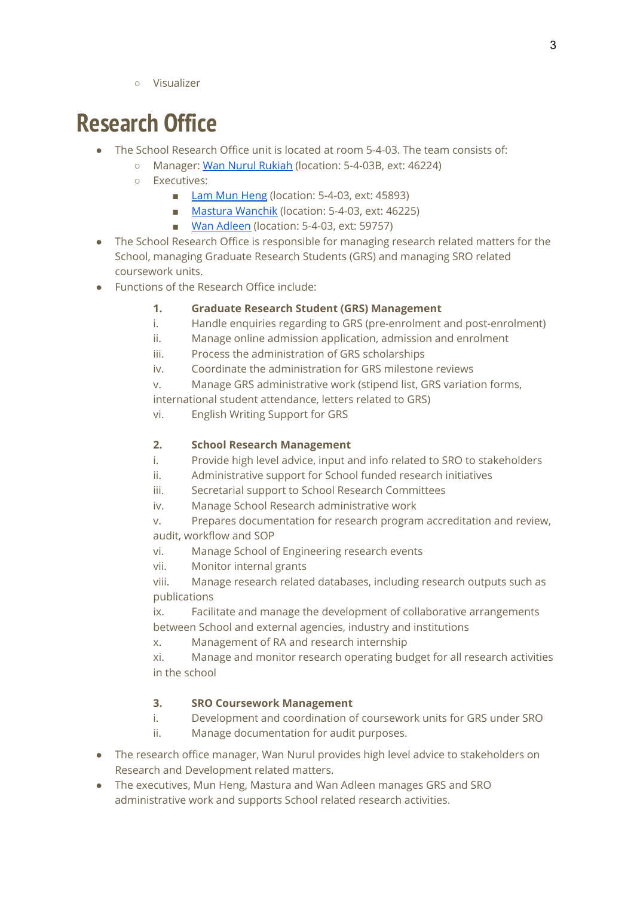○ Visualizer

## **Research Office**

- The School Research Office unit is located at room 5-4-03. The team consists of:
	- Manager: Wan Nurul [Rukiah](mailto:Wan.Nurul@monash.edu) (location: 5-4-03B, ext: 46224)
	- Executives:
		- Lam Mun [Heng](mailto:lam.munheng@monash.edu) (location: 5-4-03, ext: 45893)
		- Mastura [Wanchik](mailto:mastura.wanchik@monash.edu) (location: 5-4-03, ext: 46225)
		- Wan [Adleen](mailto:wan.adleen@monash.edu) (location: 5-4-03, ext: 59757)
- The School Research Office is responsible for managing research related matters for the School, managing Graduate Research Students (GRS) and managing SRO related coursework units.
- Functions of the Research Office include:

#### **1. Graduate Research Student (GRS) Management**

- i. Handle enquiries regarding to GRS (pre-enrolment and post-enrolment)
- ii. Manage online admission application, admission and enrolment
- iii. Process the administration of GRS scholarships
- iv. Coordinate the administration for GRS milestone reviews
- v. Manage GRS administrative work (stipend list, GRS variation forms,

international student attendance, letters related to GRS)

vi. English Writing Support for GRS

#### **2. School Research Management**

- i. Provide high level advice, input and info related to SRO to stakeholders
- ii. Administrative support for School funded research initiatives
- iii. Secretarial support to School Research Committees
- iv. Manage School Research administrative work
- v. Prepares documentation for research program accreditation and review, audit, workflow and SOP
- vi. Manage School of Engineering research events
- vii. Monitor internal grants
- viii. Manage research related databases, including research outputs such as publications
- ix. Facilitate and manage the development of collaborative arrangements between School and external agencies, industry and institutions
- x. Management of RA and research internship
- xi. Manage and monitor research operating budget for all research activities in the school

#### **3. SRO Coursework Management**

- i. Development and coordination of coursework units for GRS under SRO
- ii. Manage documentation for audit purposes.
- The research office manager, Wan Nurul provides high level advice to stakeholders on Research and Development related matters.
- The executives, Mun Heng, Mastura and Wan Adleen manages GRS and SRO administrative work and supports School related research activities.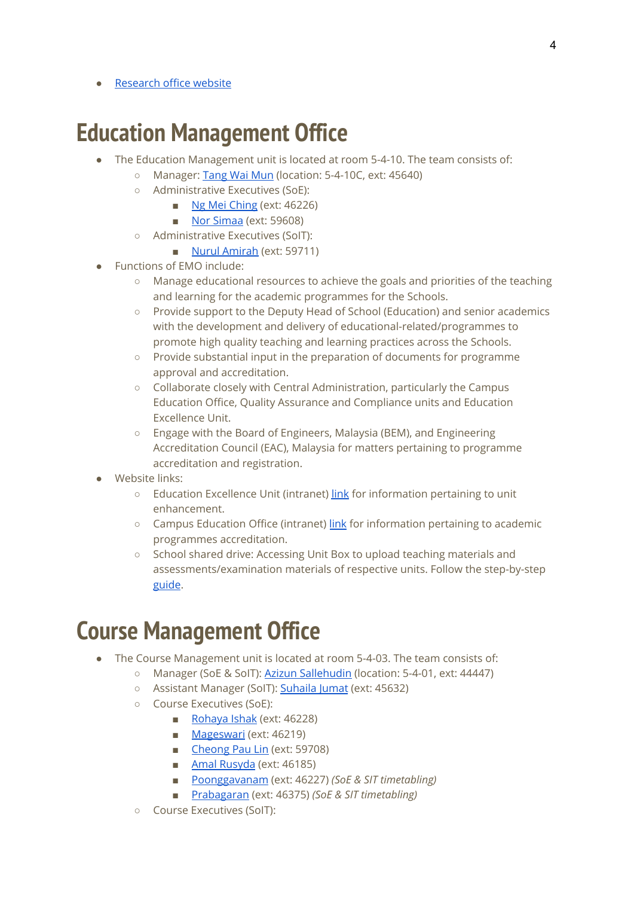**[Research](https://www.monash.edu.my/engineering/research/research-engineering/research) office website** 

### **Education Management Office**

- The Education Management unit is located at room 5-4-10. The team consists of:
	- Manager: [Tang](mailto:tang.waimun@monash.edu) Wai Mun (location: 5-4-10C, ext: 45640)
	- Administrative Executives (SoE):
		- Ng Mei [Ching](mailto:ng.mei.ching@monash.edu) (ext: 46226)
		- Nor [Simaa](mailto:norsimaa.syazwani@monash.edu) (ext: 59608)
	- Administrative Executives (SoIT):
		- Nurul [Amirah](mailto:nur.amirah@monash.edu) (ext: 59711)
- Functions of EMO include:
	- Manage educational resources to achieve the goals and priorities of the teaching and learning for the academic programmes for the Schools.
	- Provide support to the Deputy Head of School (Education) and senior academics with the development and delivery of educational-related/programmes to promote high quality teaching and learning practices across the Schools.
	- Provide substantial input in the preparation of documents for programme approval and accreditation.
	- Collaborate closely with Central Administration, particularly the Campus Education Office, Quality Assurance and Compliance units and Education Excellence Unit.
	- Engage with the Board of Engineers, Malaysia (BEM), and Engineering Accreditation Council (EAC), Malaysia for matters pertaining to programme accreditation and registration.
- Website links:
	- Education Excellence Unit (intranet) [link](http://intranet.monash.edu.my/Academic%20Services/EM/default.aspx) for information pertaining to unit enhancement.
	- Campus Education Office (intranet) [link](http://intranet.monash.edu.my/EQI/default.aspx) for information pertaining to academic programmes accreditation.
	- School shared drive: Accessing Unit Box to upload teaching materials and assessments/examination materials of respective units. Follow the step-by-step [guide](https://drive.google.com/file/d/1M7CUdd4BvF9yb__VZEveMmH7jUFbNm8N/view?usp=sharing).

### **Course Management Office**

- The Course Management unit is located at room 5-4-03. The team consists of:
	- Manager (SoE & SoIT): Azizun [Sallehudin](mailto:azizun.sallehudin@monash.edu) (location: 5-4-01, ext: 44447)
	- Assistant Manager (SoIT): [Suhaila](mailto:suhaila.jumat@monash.edu) Jumat (ext: 45632)
	- Course Executives (SoE):
		- [Rohaya](mailto:rohaya.ishak@monash.edu) Ishak (ext: 46228)
		- [Mageswari](mailto:mageswari.vadarajoo@monash.edu) (ext: 46219)
		- [Cheong](mailto:cheong.pau.lin@monash.edu) Pau Lin (ext: 59708)
		- Amal [Rusyda](mailto:amal.rusyda@monash.edu) (ext: 46185)
		- [Poonggavanam](mailto:v.poonggavanam@monash.edu) (ext: 46227) *(SoE & SIT timetabling)*
		- [Prabagaran](mailto:Prabagaran.Magendran@monash.edu) (ext: 46375) *(SoE & SIT timetabling)*
	- Course Executives (SoIT):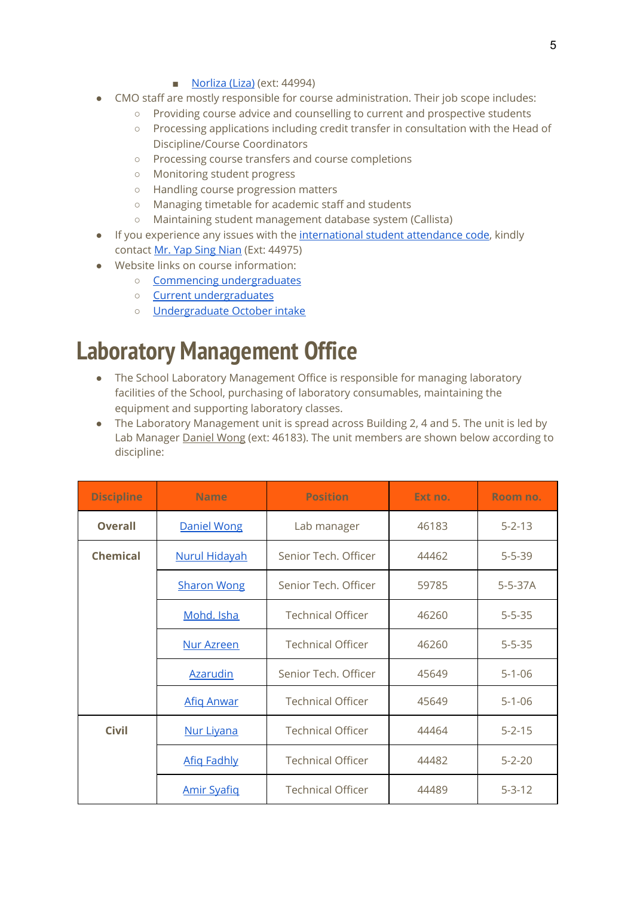#### ■ [Norliza](mailto:norliza.ayub@monash.edu) (Liza) (ext: 44994)

- CMO staff are mostly responsible for course administration. Their job scope includes:
	- Providing course advice and counselling to current and prospective students
	- Processing applications including credit transfer in consultation with the Head of Discipline/Course Coordinators
	- Processing course transfers and course completions
	- Monitoring student progress
	- Handling course progression matters
	- Managing timetable for academic staff and students
	- Maintaining student management database system (Callista)
- If you experience any issues with the [international](https://attendance.monash.edu.my/manage/) student attendance code, kindly contact Mr. Yap Sing [Nian](mailto:yap.sing.nian@monash.edu) (Ext: 44975)
- Website links on course information:
	- Commencing [undergraduates](https://www.monash.edu.my/engineering/engineering-at-monash/undergraduates/commencing)
	- Current [undergraduates](https://www.monash.edu.my/engineering/engineering-at-monash/undergraduates/current)
	- [Undergraduate](https://www.monash.edu.my/engineering/engineering-at-monash/undergraduates/october-intake) October intake

### **Laboratory Management Office**

- The School Laboratory Management Office is responsible for managing laboratory facilities of the School, purchasing of laboratory consumables, maintaining the equipment and supporting laboratory classes.
- The Laboratory Management unit is spread across Building 2, 4 and 5. The unit is led by Lab Manager [Daniel](mailto:wong.cheng.yeow@monash.edu) Wong (ext: 46183). The unit members are shown below according to discipline:

| <b>Discipline</b> | <b>Name</b>          | <b>Position</b>          | Ext no. | Room no.      |
|-------------------|----------------------|--------------------------|---------|---------------|
| <b>Overall</b>    | <b>Daniel Wong</b>   | Lab manager              | 46183   | $5 - 2 - 13$  |
| <b>Chemical</b>   | <b>Nurul Hidayah</b> | Senior Tech. Officer     | 44462   | $5 - 5 - 39$  |
|                   | <b>Sharon Wong</b>   | Senior Tech. Officer     | 59785   | $5 - 5 - 37A$ |
|                   | Mohd. Isha           | <b>Technical Officer</b> | 46260   | $5 - 5 - 35$  |
|                   | Nur Azreen           | <b>Technical Officer</b> | 46260   | $5 - 5 - 35$  |
|                   | <b>Azarudin</b>      | Senior Tech. Officer     | 45649   | $5 - 1 - 06$  |
|                   | <b>Afig Anwar</b>    | <b>Technical Officer</b> | 45649   | $5 - 1 - 06$  |
| <b>Civil</b>      | Nur Livana           | <b>Technical Officer</b> | 44464   | $5 - 2 - 15$  |
|                   | <b>Afig Fadhly</b>   | <b>Technical Officer</b> | 44482   | $5 - 2 - 20$  |
|                   | <b>Amir Syafig</b>   | <b>Technical Officer</b> | 44489   | $5 - 3 - 12$  |